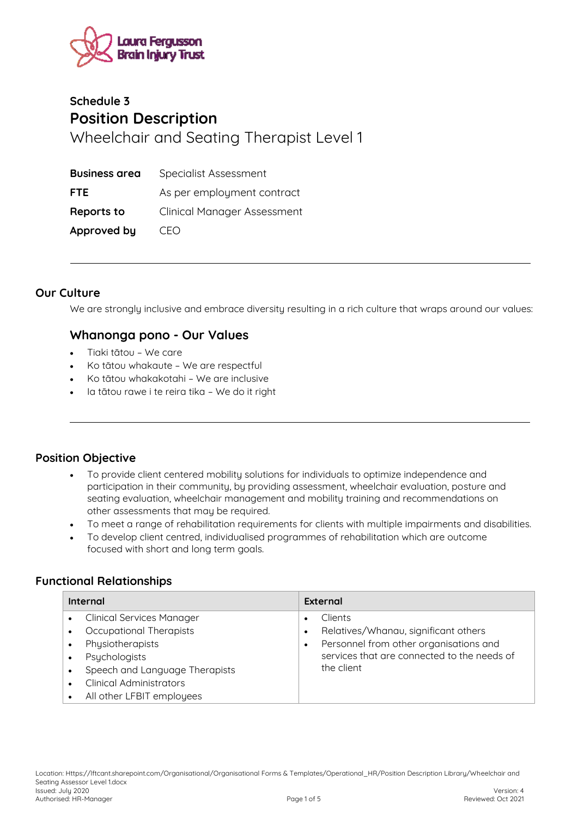

# **Schedule 3 Position Description**  Wheelchair and Seating Therapist Level 1

| <b>Business area</b> | Specialist Assessment              |
|----------------------|------------------------------------|
| <b>FTE</b>           | As per employment contract         |
| Reports to           | <b>Clinical Manager Assessment</b> |
| Approved by          | CFO                                |

#### **Our Culture**

We are strongly inclusive and embrace diversity resulting in a rich culture that wraps around our values:

### **Whanonga pono - Our Values**

- Tiaki tātou We care
- Ko tātou whakaute We are respectful
- Ko tātou whakakotahi We are inclusive
- Ia tātou rawe i te reira tika We do it right

### **Position Objective**

- To provide client centered mobility solutions for individuals to optimize independence and participation in their community, by providing assessment, wheelchair evaluation, posture and seating evaluation, wheelchair management and mobility training and recommendations on other assessments that may be required.
- To meet a range of rehabilitation requirements for clients with multiple impairments and disabilities.
- To develop client centred, individualised programmes of rehabilitation which are outcome focused with short and long term goals.

### **Functional Relationships**

| Internal                                      | External                                                                                 |
|-----------------------------------------------|------------------------------------------------------------------------------------------|
| <b>Clinical Services Manager</b><br>$\bullet$ | <b>Clients</b><br>٠                                                                      |
| Occupational Therapists<br>Physiotherapists   | Relatives/Whanau, significant others<br>٠<br>Personnel from other organisations and<br>٠ |
| Psychologists<br>$\bullet$                    | services that are connected to the needs of                                              |
| Speech and Language Therapists                | the client                                                                               |
| <b>Clinical Administrators</b>                |                                                                                          |
| All other LFBIT employees                     |                                                                                          |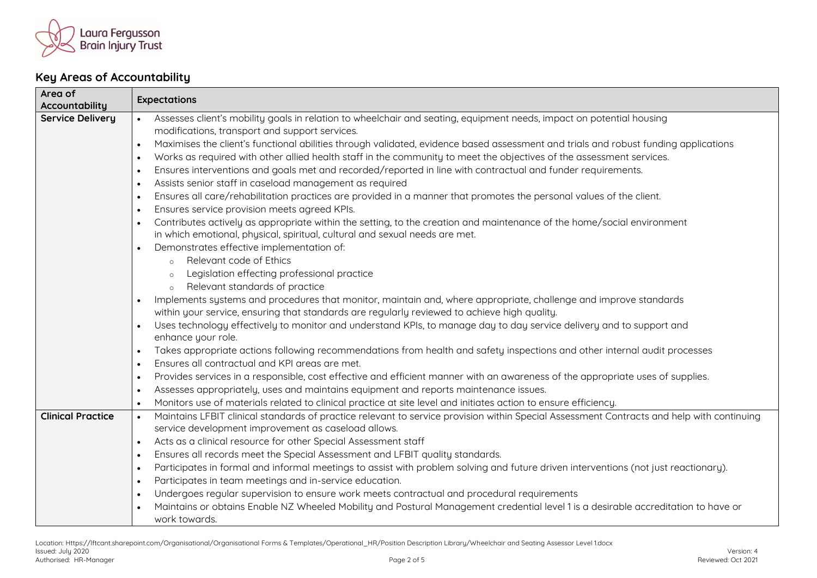

## **Key Areas of Accountability**

| Area of<br>Accountability | <b>Expectations</b>                                                                                                                                    |  |
|---------------------------|--------------------------------------------------------------------------------------------------------------------------------------------------------|--|
| <b>Service Delivery</b>   | Assesses client's mobility goals in relation to wheelchair and seating, equipment needs, impact on potential housing<br>$\bullet$                      |  |
|                           | modifications, transport and support services.                                                                                                         |  |
|                           | Maximises the client's functional abilities through validated, evidence based assessment and trials and robust funding applications<br>$\bullet$       |  |
|                           | Works as required with other allied health staff in the community to meet the objectives of the assessment services.<br>$\bullet$                      |  |
|                           | Ensures interventions and goals met and recorded/reported in line with contractual and funder requirements.<br>$\bullet$                               |  |
|                           | Assists senior staff in caseload management as required<br>$\bullet$                                                                                   |  |
|                           | Ensures all care/rehabilitation practices are provided in a manner that promotes the personal values of the client.<br>$\bullet$                       |  |
|                           | Ensures service provision meets agreed KPIs.<br>$\bullet$                                                                                              |  |
|                           | Contributes actively as appropriate within the setting, to the creation and maintenance of the home/social environment<br>$\bullet$                    |  |
|                           | in which emotional, physical, spiritual, cultural and sexual needs are met.                                                                            |  |
|                           | Demonstrates effective implementation of:<br>$\bullet$                                                                                                 |  |
|                           | Relevant code of Ethics<br>$\circ$                                                                                                                     |  |
|                           | Legislation effecting professional practice<br>$\circ$                                                                                                 |  |
|                           | Relevant standards of practice                                                                                                                         |  |
|                           | Implements systems and procedures that monitor, maintain and, where appropriate, challenge and improve standards                                       |  |
|                           | within your service, ensuring that standards are regularly reviewed to achieve high quality.                                                           |  |
|                           | Uses technology effectively to monitor and understand KPIs, to manage day to day service delivery and to support and<br>$\bullet$                      |  |
|                           | enhance your role.                                                                                                                                     |  |
|                           | Takes appropriate actions following recommendations from health and safety inspections and other internal audit processes<br>$\bullet$                 |  |
|                           | Ensures all contractual and KPI areas are met.<br>$\bullet$                                                                                            |  |
|                           | Provides services in a responsible, cost effective and efficient manner with an awareness of the appropriate uses of supplies.<br>$\bullet$            |  |
|                           | Assesses appropriately, uses and maintains equipment and reports maintenance issues.<br>$\bullet$                                                      |  |
|                           | Monitors use of materials related to clinical practice at site level and initiates action to ensure efficiency.<br>$\bullet$                           |  |
| <b>Clinical Practice</b>  | Maintains LFBIT clinical standards of practice relevant to service provision within Special Assessment Contracts and help with continuing<br>$\bullet$ |  |
|                           | service development improvement as caseload allows.                                                                                                    |  |
|                           | Acts as a clinical resource for other Special Assessment staff<br>$\bullet$                                                                            |  |
|                           | Ensures all records meet the Special Assessment and LFBIT quality standards.<br>$\bullet$                                                              |  |
|                           | Participates in formal and informal meetings to assist with problem solving and future driven interventions (not just reactionary).<br>$\bullet$       |  |
|                           | Participates in team meetings and in-service education.<br>$\bullet$                                                                                   |  |
|                           | Undergoes regular supervision to ensure work meets contractual and procedural requirements<br>$\bullet$                                                |  |
|                           | Maintains or obtains Enable NZ Wheeled Mobility and Postural Management credential level 1 is a desirable accreditation to have or                     |  |
|                           | work towards.                                                                                                                                          |  |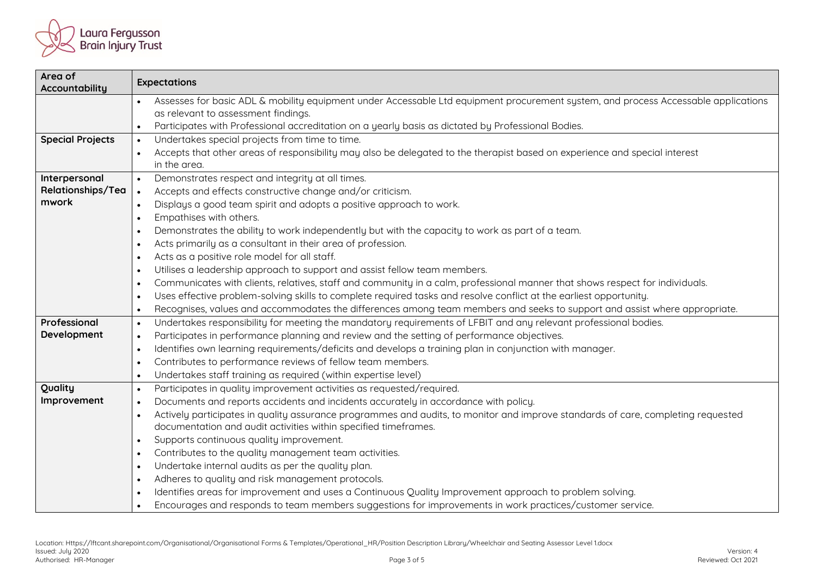

| Area of<br>Accountability  | <b>Expectations</b>                                                                                                                           |  |
|----------------------------|-----------------------------------------------------------------------------------------------------------------------------------------------|--|
|                            | Assesses for basic ADL & mobility equipment under Accessable Ltd equipment procurement system, and process Accessable applications            |  |
|                            | as relevant to assessment findings.                                                                                                           |  |
|                            | Participates with Professional accreditation on a yearly basis as dictated by Professional Bodies.<br>$\bullet$                               |  |
| <b>Special Projects</b>    | Undertakes special projects from time to time.<br>$\bullet$                                                                                   |  |
|                            | Accepts that other areas of responsibility may also be delegated to the therapist based on experience and special interest                    |  |
|                            | in the area.<br>$\bullet$                                                                                                                     |  |
| Interpersonal              | Demonstrates respect and integrity at all times.                                                                                              |  |
| Relationships/Tea<br>mwork | Accepts and effects constructive change and/or criticism.<br>$\bullet$                                                                        |  |
|                            | Displays a good team spirit and adopts a positive approach to work.<br>$\bullet$                                                              |  |
|                            | Empathises with others.<br>$\bullet$                                                                                                          |  |
|                            | Demonstrates the ability to work independently but with the capacity to work as part of a team.<br>$\bullet$                                  |  |
|                            | Acts primarily as a consultant in their area of profession.<br>$\bullet$                                                                      |  |
|                            | Acts as a positive role model for all staff.<br>$\bullet$                                                                                     |  |
|                            | Utilises a leadership approach to support and assist fellow team members.<br>$\bullet$                                                        |  |
|                            | Communicates with clients, relatives, staff and community in a calm, professional manner that shows respect for individuals.<br>$\bullet$     |  |
|                            | Uses effective problem-solving skills to complete required tasks and resolve conflict at the earliest opportunity.<br>$\bullet$               |  |
|                            | Recognises, values and accommodates the differences among team members and seeks to support and assist where appropriate.<br>$\bullet$        |  |
| Professional               | Undertakes responsibility for meeting the mandatory requirements of LFBIT and any relevant professional bodies.<br>$\bullet$                  |  |
| Development                | Participates in performance planning and review and the setting of performance objectives.<br>$\bullet$                                       |  |
|                            | Identifies own learning requirements/deficits and develops a training plan in conjunction with manager.<br>$\bullet$                          |  |
|                            | Contributes to performance reviews of fellow team members.<br>$\bullet$                                                                       |  |
|                            | Undertakes staff training as required (within expertise level)<br>$\bullet$                                                                   |  |
| Quality                    | Participates in quality improvement activities as requested/required.<br>$\bullet$                                                            |  |
| Improvement                | Documents and reports accidents and incidents accurately in accordance with policy.<br>$\bullet$                                              |  |
|                            | Actively participates in quality assurance programmes and audits, to monitor and improve standards of care, completing requested<br>$\bullet$ |  |
|                            | documentation and audit activities within specified timeframes.                                                                               |  |
|                            | Supports continuous quality improvement.<br>$\bullet$                                                                                         |  |
|                            | Contributes to the quality management team activities.<br>$\bullet$                                                                           |  |
|                            | Undertake internal audits as per the quality plan.<br>$\bullet$                                                                               |  |
|                            | Adheres to quality and risk management protocols.<br>$\bullet$                                                                                |  |
|                            | Identifies areas for improvement and uses a Continuous Quality Improvement approach to problem solving.<br>$\bullet$                          |  |
|                            | Encourages and responds to team members suggestions for improvements in work practices/customer service.<br>$\bullet$                         |  |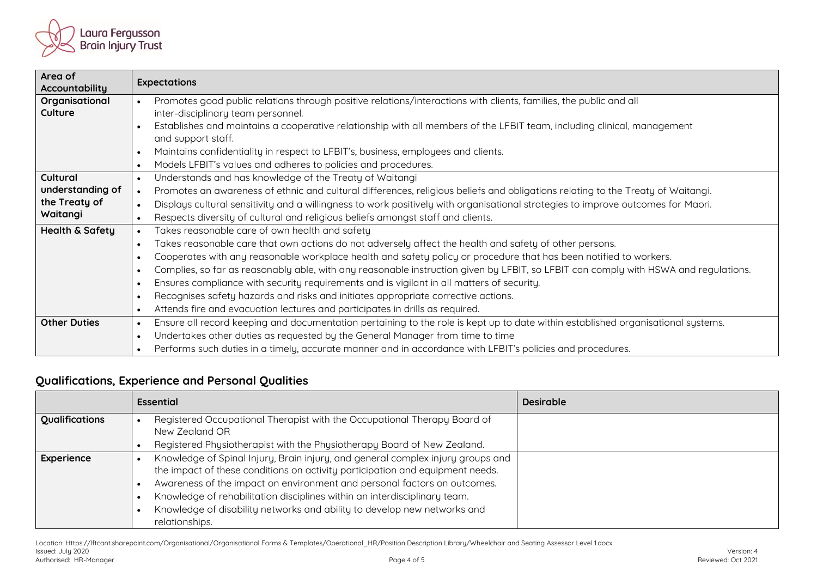

| Area of<br><b>Accountability</b> | <b>Expectations</b>                                                                                                                              |  |
|----------------------------------|--------------------------------------------------------------------------------------------------------------------------------------------------|--|
| Organisational                   | Promotes good public relations through positive relations/interactions with clients, families, the public and all<br>$\bullet$                   |  |
| Culture                          | inter-disciplinary team personnel.                                                                                                               |  |
|                                  | Establishes and maintains a cooperative relationship with all members of the LFBIT team, including clinical, management<br>$\bullet$             |  |
|                                  | and support staff.                                                                                                                               |  |
|                                  | Maintains confidentiality in respect to LFBIT's, business, employees and clients.<br>$\bullet$                                                   |  |
|                                  | Models LFBIT's values and adheres to policies and procedures.<br>$\bullet$                                                                       |  |
| Cultural                         | Understands and has knowledge of the Treaty of Waitangi<br>$\bullet$                                                                             |  |
| understanding of                 | Promotes an awareness of ethnic and cultural differences, religious beliefs and obligations relating to the Treaty of Waitangi.<br>$\bullet$     |  |
| the Treaty of                    | Displays cultural sensitivity and a willingness to work positively with organisational strategies to improve outcomes for Maori.<br>$\bullet$    |  |
| Waitangi                         | Respects diversity of cultural and religious beliefs amongst staff and clients.<br>$\bullet$                                                     |  |
| <b>Health &amp; Safety</b>       | Takes reasonable care of own health and safety<br>$\bullet$                                                                                      |  |
|                                  | Takes reasonable care that own actions do not adversely affect the health and safety of other persons.<br>$\bullet$                              |  |
|                                  | Cooperates with any reasonable workplace health and safety policy or procedure that has been notified to workers.<br>$\bullet$                   |  |
|                                  | Complies, so far as reasonably able, with any reasonable instruction given by LFBIT, so LFBIT can comply with HSWA and regulations.<br>$\bullet$ |  |
|                                  | Ensures compliance with security requirements and is vigilant in all matters of security.<br>$\bullet$                                           |  |
|                                  | Recognises safety hazards and risks and initiates appropriate corrective actions.<br>$\bullet$                                                   |  |
|                                  | Attends fire and evacuation lectures and participates in drills as required.<br>$\bullet$                                                        |  |
| <b>Other Duties</b>              | Ensure all record keeping and documentation pertaining to the role is kept up to date within established organisational systems.<br>$\bullet$    |  |
|                                  | Undertakes other duties as requested by the General Manager from time to time<br>$\bullet$                                                       |  |
|                                  | Performs such duties in a timely, accurate manner and in accordance with LFBIT's policies and procedures.<br>$\bullet$                           |  |

## **Qualifications, Experience and Personal Qualities**

|                | <b>Essential</b>                                                                           | <b>Desirable</b> |
|----------------|--------------------------------------------------------------------------------------------|------------------|
| Qualifications | Registered Occupational Therapist with the Occupational Therapy Board of<br>New Zealand OR |                  |
|                | Registered Physiotherapist with the Physiotherapy Board of New Zealand.                    |                  |
| Experience     | Knowledge of Spinal Injury, Brain injury, and general complex injury groups and            |                  |
|                | the impact of these conditions on activity participation and equipment needs.              |                  |
|                | Awareness of the impact on environment and personal factors on outcomes.                   |                  |
|                | Knowledge of rehabilitation disciplines within an interdisciplinary team.                  |                  |
|                | Knowledge of disability networks and ability to develop new networks and<br>relationships. |                  |

Location: Https://lftcant.sharepoint.com/Organisational/Organisational Forms & Templates/Operational\_HR/Position Description Library/Wheelchair and Seating Assessor Level 1.docx<br>Issued: July 2020 Issued: July 2020 Version: 4 Authorised: HR-Manager Page 4 of 5 Reviewed: Oct 2021